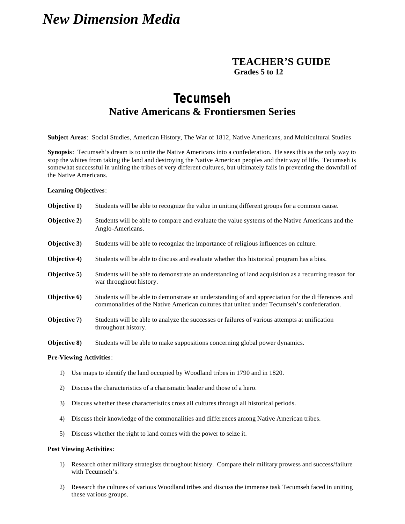# *New Dimension Media*

## **TEACHER'S GUIDE Grades 5 to 12**

## **Tecumseh Native Americans & Frontiersmen Series**

**Subject Areas**: Social Studies, American History, The War of 1812, Native Americans, and Multicultural Studies

**Synopsis**: Tecumseh's dream is to unite the Native Americans into a confederation. He sees this as the only way to stop the whites from taking the land and destroying the Native American peoples and their way of life. Tecumseh is somewhat successful in uniting the tribes of very different cultures, but ultimately fails in preventing the downfall of the Native Americans.

#### **Learning Objectives**:

| Objective 1) | Students will be able to recognize the value in uniting different groups for a common cause.                                                                                                   |
|--------------|------------------------------------------------------------------------------------------------------------------------------------------------------------------------------------------------|
| Objective 2) | Students will be able to compare and evaluate the value systems of the Native Americans and the<br>Anglo-Americans.                                                                            |
| Objective 3) | Students will be able to recognize the importance of religious influences on culture.                                                                                                          |
| Objective 4) | Students will be able to discuss and evaluate whether this his torical program has a bias.                                                                                                     |
| Objective 5) | Students will be able to demonstrate an understanding of land acquisition as a recurring reason for<br>war throughout history.                                                                 |
| Objective 6) | Students will be able to demonstrate an understanding of and appreciation for the differences and<br>commonalities of the Native American cultures that united under Tecumseh's confederation. |
| Objective 7) | Students will be able to analyze the successes or failures of various attempts at unification<br>throughout history.                                                                           |
| Objective 8) | Students will be able to make suppositions concerning global power dynamics.                                                                                                                   |

#### **Pre-Viewing Activities**:

- 1) Use maps to identify the land occupied by Woodland tribes in 1790 and in 1820.
- 2) Discuss the characteristics of a charismatic leader and those of a hero.
- 3) Discuss whether these characteristics cross all cultures through all historical periods.
- 4) Discuss their knowledge of the commonalities and differences among Native American tribes.
- 5) Discuss whether the right to land comes with the power to seize it.

#### **Post Viewing Activities**:

- 1) Research other military strategists throughout history. Compare their military prowess and success/failure with Tecumseh's.
- 2) Research the cultures of various Woodland tribes and discuss the immense task Tecumseh faced in uniting these various groups.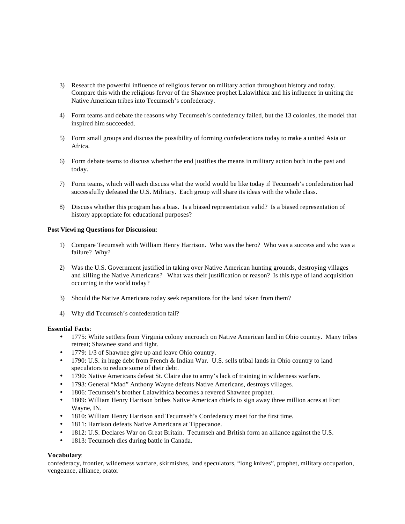- 3) Research the powerful influence of religious fervor on military action throughout history and today. Compare this with the religious fervor of the Shawnee prophet Lalawithica and his influence in uniting the Native American tribes into Tecumseh's confederacy.
- 4) Form teams and debate the reasons why Tecumseh's confederacy failed, but the 13 colonies, the model that inspired him succeeded.
- 5) Form small groups and discuss the possibility of forming confederations today to make a united Asia or Africa.
- 6) Form debate teams to discuss whether the end justifies the means in military action both in the past and today.
- 7) Form teams, which will each discuss what the world would be like today if Tecumseh's confederation had successfully defeated the U.S. Military. Each group will share its ideas with the whole class.
- 8) Discuss whether this program has a bias. Is a biased representation valid? Is a biased representation of history appropriate for educational purposes?

#### **Post Viewi ng Questions for Discussion**:

- 1) Compare Tecumseh with William Henry Harrison. Who was the hero? Who was a success and who was a failure? Why?
- 2) Was the U.S. Government justified in taking over Native American hunting grounds, destroying villages and killing the Native Americans? What was their justification or reason? Is this type of land acquisition occurring in the world today?
- 3) Should the Native Americans today seek reparations for the land taken from them?
- 4) Why did Tecumseh's confederation fail?

#### **Essential Facts**:

- 1775: White settlers from Virginia colony encroach on Native American land in Ohio country. Many tribes retreat; Shawnee stand and fight.
- 1779: 1/3 of Shawnee give up and leave Ohio country.
- 1790: U.S. in huge debt from French & Indian War. U.S. sells tribal lands in Ohio country to land speculators to reduce some of their debt.
- 1790: Native Americans defeat St. Claire due to army's lack of training in wilderness warfare.
- 1793: General "Mad" Anthony Wayne defeats Native Americans, destroys villages.
- 1806: Tecumseh's brother Lalawithica becomes a revered Shawnee prophet.
- 1809: William Henry Harrison bribes Native American chiefs to sign away three million acres at Fort Wayne, IN.
- 1810: William Henry Harrison and Tecumseh's Confederacy meet for the first time.
- 1811: Harrison defeats Native Americans at Tippecanoe.
- 1812: U.S. Declares War on Great Britain. Tecumseh and British form an alliance against the U.S.
- 1813: Tecumseh dies during battle in Canada.

#### **Vocabulary**:

confederacy, frontier, wilderness warfare, skirmishes, land speculators, "long knives", prophet, military occupation, vengeance, alliance, orator